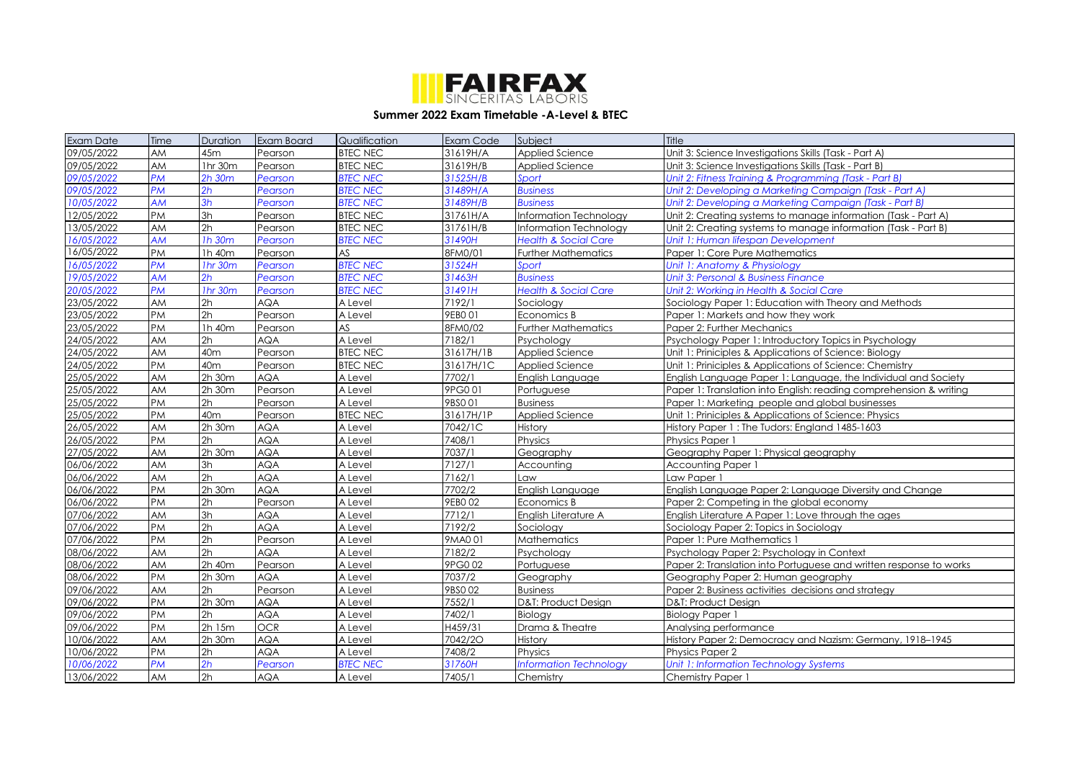

## **Summer 2022 Exam Timetable -A-Level & BTEC**

| <b>Exam Date</b> | Time      | <b>Duration</b> | Exam Board | Qualification   | <b>Exam Code</b> | Subject                         | Title                                                              |
|------------------|-----------|-----------------|------------|-----------------|------------------|---------------------------------|--------------------------------------------------------------------|
| 09/05/2022       | <b>AM</b> | 45m             | Pearson    | <b>BTEC NEC</b> | 31619H/A         | Applied Science                 | Unit 3: Science Investigations Skills (Task - Part A)              |
| 09/05/2022       | AM        | 1hr 30m         | Pearson    | <b>BTEC NEC</b> | 31619H/B         | Applied Science                 | Unit 3: Science Investigations Skills (Task - Part B)              |
| 09/05/2022       | <b>PM</b> | $2h$ 30 $m$     | Pearson    | <b>BTEC NEC</b> | 31525H/B         | Sport                           | Unit 2: Fitness Training & Programming (Task - Part B)             |
| 09/05/2022       | <b>PM</b> | 2h              | Pearson    | <b>BTEC NEC</b> | 31489H/A         | <b>Business</b>                 | Unit 2: Developing a Marketing Campaign (Task - Part A)            |
| 10/05/2022       | <b>AM</b> | 3h              | Pearson    | <b>BTEC NEC</b> | 31489H/B         | <b>Business</b>                 | Unit 2: Developing a Marketing Campaign (Task - Part B)            |
| 12/05/2022       | <b>PM</b> | 3h              | Pearson    | <b>BTEC NEC</b> | 31761H/A         | Information Technology          | Unit 2: Creating systems to manage information (Task - Part A)     |
| 13/05/2022       | <b>AM</b> | 2h              | Pearson    | <b>BTEC NEC</b> | 31761H/B         | Information Technology          | Unit 2: Creating systems to manage information (Task - Part B)     |
| 16/05/2022       | <b>AM</b> | 1h 30m          | Pearson    | <b>BTEC NEC</b> | 31490H           | <b>Health &amp; Social Care</b> | Unit 1: Human lifespan Development                                 |
| 16/05/2022       | <b>PM</b> | 1h 40m          | Pearson    | AS              | 8FM0/01          | <b>Further Mathematics</b>      | Paper 1: Core Pure Mathematics                                     |
| 16/05/2022       | <b>PM</b> | 1hr 30m         | Pearson    | <b>BTEC NEC</b> | 31524H           | Sport                           | Unit 1: Anatomy & Physiology                                       |
| 19/05/2022       | <b>AM</b> | 2h              | Pearson    | <b>BTEC NEC</b> | 31463H           | <b>Business</b>                 | Jnit 3: Personal & Business Finance                                |
| 20/05/2022       | <b>PM</b> | 1hr 30m         | Pearson    | <b>BTEC NEC</b> | 31491H           | <b>Health &amp; Social Care</b> | Unit 2: Working in Health & Social Care                            |
| 23/05/2022       | AM        | 2h              | <b>AQA</b> | A Level         | 7192/1           | Sociology                       | Sociology Paper 1: Education with Theory and Methods               |
| 23/05/2022       | <b>PM</b> | 2h              | Pearson    | A Level         | 9EB001           | Economics B                     | Paper 1: Markets and how they work                                 |
| 23/05/2022       | <b>PM</b> | 1h 40m          | Pearson    | AS.             | 8FM0/02          | <b>Further Mathematics</b>      | Paper 2: Further Mechanics                                         |
| 24/05/2022       | <b>AM</b> | 2h              | <b>AQA</b> | A Level         | 7182/1           | Psychology                      | Psychology Paper 1: Introductory Topics in Psychology              |
| 24/05/2022       | <b>AM</b> | 40 <sub>m</sub> | Pearson    | <b>BTEC NEC</b> | 31617H/1B        | Applied Science                 | Unit 1: Priniciples & Applications of Science: Biology             |
| 24/05/2022       | <b>PM</b> | 40 <sub>m</sub> | Pearson    | <b>BTEC NEC</b> | 31617H/1C        | Applied Science                 | Unit 1: Priniciples & Applications of Science: Chemistry           |
| 25/05/2022       | <b>AM</b> | 2h 30m          | <b>AQA</b> | A Level         | 7702/1           | English Language                | English Language Paper 1: Language, the Individual and Society     |
| 25/05/2022       | AM        | 2h 30m          | Pearson    | A Level         | 9PG001           | Portuguese                      | Paper 1: Translation into English: reading comprehension & writing |
| 25/05/2022       | <b>PM</b> | 2h              | Pearson    | A Level         | 9BSO 01          | <b>Business</b>                 | Paper 1: Marketing people and global businesses                    |
| 25/05/2022       | <b>PM</b> | 40 <sub>m</sub> | Pearson    | <b>BTEC NEC</b> | 31617H/1P        | Applied Science                 | Unit 1: Priniciples & Applications of Science: Physics             |
| 26/05/2022       | <b>AM</b> | 2h 30m          | <b>AQA</b> | A Level         | 7042/1C          | <b>History</b>                  | History Paper 1: The Tudors: England 1485-1603                     |
| 26/05/2022       | <b>PM</b> | 2h              | <b>AQA</b> | A Level         | 7408/1           | Physics                         | Physics Paper 1                                                    |
| 27/05/2022       | AM        | 2h 30m          | <b>AQA</b> | A Level         | 7037/1           | Geoaraphy                       | Geography Paper 1: Physical geography                              |
| 06/06/2022       | <b>AM</b> | 3h              | <b>AQA</b> | A Level         | 7127/1           | Accounting                      | Accounting Paper 1                                                 |
| 06/06/2022       | AM        | 2h              | <b>AQA</b> | A Level         | 7162/1           | Law                             | Law Paper 1                                                        |
| 06/06/2022       | <b>PM</b> | 2h 30m          | <b>AQA</b> | A Level         | 7702/2           | English Language                | English Language Paper 2: Language Diversity and Change            |
| 06/06/2022       | <b>PM</b> | 2h              | Pearson    | A Level         | 9EBO 02          | Economics B                     | Paper 2: Competing in the global economy                           |
| 07/06/2022       | AM        | 3h              | <b>AQA</b> | A Level         | 7712/1           | English Literature A            | English Literature A Paper 1: Love through the ages                |
| 07/06/2022       | PM        | 2h              | <b>AQA</b> | A Level         | 7192/2           | Sociology                       | Sociology Paper 2: Topics in Sociology                             |
| 07/06/2022       | <b>PM</b> | 2h              | Pearson    | A Level         | 9MA001           | Mathematics                     | Paper 1: Pure Mathematics 1                                        |
| 08/06/2022       | AM        | 2h              | <b>AQA</b> | A Level         | 7182/2           | Psychology                      | Psychology Paper 2: Psychology in Context                          |
| 08/06/2022       | AM        | 2h 40m          | Pearson    | A Level         | 9PG002           | Portuguese                      | Paper 2: Translation into Portuguese and written response to works |
| 08/06/2022       | <b>PM</b> | 2h 30m          | <b>AQA</b> | A Level         | 7037/2           | Geography                       | Geography Paper 2: Human geography                                 |
| 09/06/2022       | AM        | 2h              | Pearson    | A Level         | 9BSO 02          | Business                        | Paper 2: Business activities decisions and strategy                |
| 09/06/2022       | <b>PM</b> | 2h 30m          | <b>AQA</b> | A Level         | 7552/1           | D&T: Product Design             | D&T: Product Design                                                |
| 09/06/2022       | <b>PM</b> | 2h              | <b>AQA</b> | A Level         | 7402/1           | Bioloav                         | <b>Biology Paper 1</b>                                             |
| 09/06/2022       | <b>PM</b> | 2h 15m          | <b>OCR</b> | A Level         | H459/31          | Drama & Theatre                 | Analysing performance                                              |
| 10/06/2022       | AM        | 2h 30m          | <b>AQA</b> | A Level         | 7042/20          | History                         | History Paper 2: Democracy and Nazism: Germany, 1918-1945          |
| 10/06/2022       | <b>PM</b> | 2h              | <b>AQA</b> | A Level         | 7408/2           | Physics                         | <b>Physics Paper 2</b>                                             |
| 10/06/2022       | <b>PM</b> | 2h              | Pearson    | <b>BTEC NEC</b> | 31760H           | <b>Information Technology</b>   | Unit 1: Information Technology Systems                             |
| 13/06/2022       | <b>AM</b> | 2h              | <b>AQA</b> | A Level         | 7405/1           | Chemistry                       | Chemistry Paper 1                                                  |